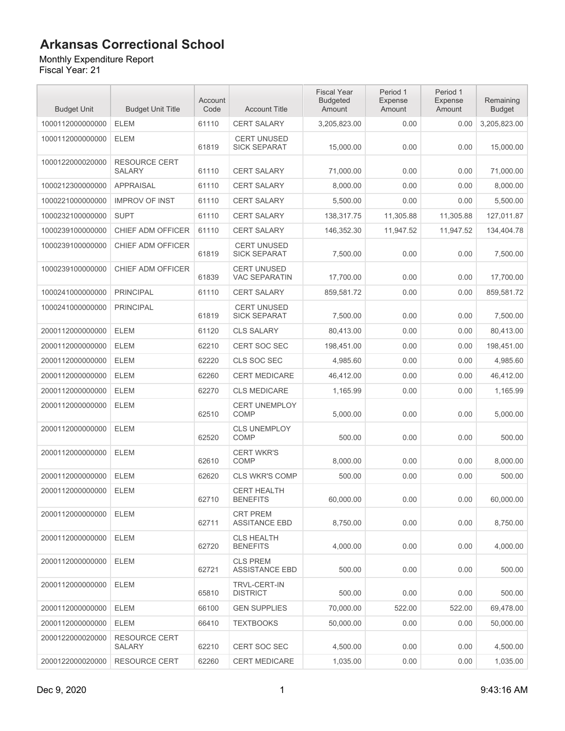Monthly Expenditure Report Fiscal Year: 21

Budget Unit Budget Unit Title Account Code Account Title Fiscal Year Budgeted Amount Period 1 Expense Amount 1000112000000000 ELEM 61110 CERT SALARY 3,205,823.00 0.00 0.00 3,205,823.00 1000112000000000 ELEM 61819 CERT UNUSED SICK SEPARAT | 15,000.00 0.00 0.00 15,000.00 1000122000020000 RESOURCE CERT SALARY 61110 CERT SALARY 71,000.00 0.00 0.00 71,000.00 1000212300000000 APPRAISAL 61110 CERT SALARY 8,000.00 0.00 0.00 8,000.00 1000221000000000 IMPROV OF INST 61110 CERT SALARY 5,500.00 0.00 0.00 5,500.00 61819 CERT UNUSED 61839 CERT UNUSED 61819 CERT UNUSED 62510 CERT UNEMPLOY 62520 CLS UNEMPLOY

1000232100000000 SUPT 61110 CERT SALARY 138,317.75 11,305.88 127.011.87 1000239100000000 CHIEF ADM OFFICER 61110 CERT SALARY 146,352.30 11,947.52 11,947.52 134,404.78 1000239100000000 CHIEF ADM OFFICER SICK SEPARAT 7.500.00 0.00 0.00 7.500.00 1000239100000000 CHIEF ADM OFFICER VAC SEPARATIN | 17,700.00 0.00 0.00 17,700.00 1000241000000000 PRINCIPAL 61110 CERT SALARY 859,581.72 0.00 0.00 859,581.72 1000241000000000 PRINCIPAL SICK SEPARAT 7,500.00 0.00 0.00 7,500.00 2000112000000000 ELEM 61120 CLS SALARY 80,413.00 0.00 0.00 80,413.00 2000112000000000 ELEM 62210 CERT SOC SEC 198,451.00 0.00 0.00 198,451.00 2000112000000000 ELEM 62220 CLS SOC SEC 4,985.60 0.00 0.00 4,985.60 2000112000000000 ELEM 62260 CERT MEDICARE 46,412.00 0.00 0.00 46,412.00 2000112000000000 ELEM 62270 CLS MEDICARE 1,165.99 0.00 0.00 1,165.99 2000112000000000 ELEM  $\text{COMP} \qquad \qquad \begin{array}{c|c} \text{S},000.00 & \text{S},000 & \text{S},000 & \text{S},000.00 \end{array}$ 2000112000000000 ELEM  $\text{COMP} \qquad \qquad \begin{array}{|c|c|c|c|c|} \hline \text{S00.00} & \text{O.00} & \text{O.00} & \text{S00.00} \ \hline \end{array}$ 2000112000000000 ELEM 62610 CERT WKR'S<br>COMP  $\text{COMP} \qquad \qquad \text{} \qquad \qquad 8,000.00 \qquad \qquad 0.00 \qquad \qquad 0.00 \qquad \qquad 8,000.00$ 2000112000000000 ELEM 62620 CLS WKR'S COMP 500.00 0.00 0.00 500.00 2000112000000000 ELEM 62710 CERT HEALTH BENEFITS 60,000.00 0.00 0.00 60,000.00 2000112000000000 ELEM 62711 CRT PREM ASSITANCE EBD 8,750.00 0.00 0.00 8,750.00 2000112000000000 ELEM 62720 CLS HEALTH BENEFITS 4.000.00 0.00 0.00 4.000.00 2000112000000000 ELEM 62721 CLS PREM ASSISTANCE EBD 500.00 0.00 0.00 500.00 2000112000000000 ELEM 65810 TRVL-CERT-IN DISTRICT 500.00 0.00 0.00 500.00 2000112000000000 ELEM 66100 GEN SUPPLIES 70,000.00 522.00 522.00 69,478.00 2000112000000000 ELEM 66410 TEXTBOOKS 50,000.00 0.00 0.00 50,000.00 2000122000020000 RESOURCE CERT SALARY 62210 CERT SOC SEC 4.500.00 0.00 0.00 4.500.00 2000122000020000 RESOURCE CERT 62260 CERT MEDICARE 1,035.00 0.00 0.00 1,035.00

Period 1 Expense Amount

Remaining Budget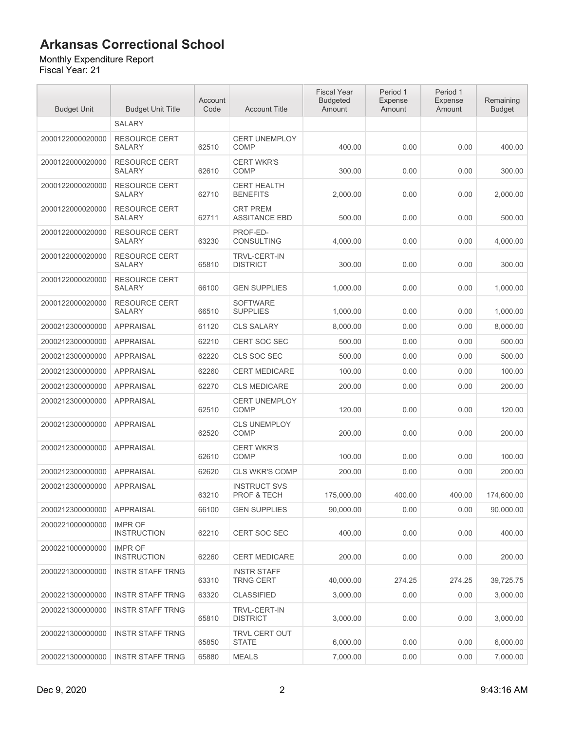#### Monthly Expenditure Report

| <b>Budget Unit</b> | <b>Budget Unit Title</b>              | Account<br>Code | <b>Account Title</b>                    | <b>Fiscal Year</b><br><b>Budgeted</b><br>Amount | Period 1<br>Expense<br>Amount | Period 1<br>Expense<br>Amount | Remaining<br><b>Budget</b> |
|--------------------|---------------------------------------|-----------------|-----------------------------------------|-------------------------------------------------|-------------------------------|-------------------------------|----------------------------|
|                    | SALARY                                |                 |                                         |                                                 |                               |                               |                            |
| 2000122000020000   | <b>RESOURCE CERT</b><br><b>SALARY</b> | 62510           | <b>CERT UNEMPLOY</b><br>COMP            | 400.00                                          | 0.00                          | 0.00                          | 400.00                     |
| 2000122000020000   | <b>RESOURCE CERT</b><br><b>SALARY</b> | 62610           | <b>CERT WKR'S</b><br><b>COMP</b>        | 300.00                                          | 0.00                          | 0.00                          | 300.00                     |
| 2000122000020000   | <b>RESOURCE CERT</b><br><b>SALARY</b> | 62710           | <b>CERT HEALTH</b><br><b>BENEFITS</b>   | 2,000.00                                        | 0.00                          | 0.00                          | 2,000.00                   |
| 2000122000020000   | <b>RESOURCE CERT</b><br><b>SALARY</b> | 62711           | <b>CRT PREM</b><br><b>ASSITANCE EBD</b> | 500.00                                          | 0.00                          | 0.00                          | 500.00                     |
| 2000122000020000   | <b>RESOURCE CERT</b><br><b>SALARY</b> | 63230           | PROF-ED-<br>CONSULTING                  | 4,000.00                                        | 0.00                          | 0.00                          | 4,000.00                   |
| 2000122000020000   | <b>RESOURCE CERT</b><br><b>SALARY</b> | 65810           | <b>TRVL-CERT-IN</b><br><b>DISTRICT</b>  | 300.00                                          | 0.00                          | 0.00                          | 300.00                     |
| 2000122000020000   | <b>RESOURCE CERT</b><br><b>SALARY</b> | 66100           | <b>GEN SUPPLIES</b>                     | 1,000.00                                        | 0.00                          | 0.00                          | 1,000.00                   |
| 2000122000020000   | <b>RESOURCE CERT</b><br><b>SALARY</b> | 66510           | <b>SOFTWARE</b><br><b>SUPPLIES</b>      | 1,000.00                                        | 0.00                          | 0.00                          | 1,000.00                   |
| 2000212300000000   | <b>APPRAISAL</b>                      | 61120           | <b>CLS SALARY</b>                       | 8,000.00                                        | 0.00                          | 0.00                          | 8,000.00                   |
| 2000212300000000   | <b>APPRAISAL</b>                      | 62210           | <b>CERT SOC SEC</b>                     | 500.00                                          | 0.00                          | 0.00                          | 500.00                     |
| 2000212300000000   | <b>APPRAISAL</b>                      | 62220           | CLS SOC SEC                             | 500.00                                          | 0.00                          | 0.00                          | 500.00                     |
| 2000212300000000   | <b>APPRAISAL</b>                      | 62260           | <b>CERT MEDICARE</b>                    | 100.00                                          | 0.00                          | 0.00                          | 100.00                     |
| 2000212300000000   | <b>APPRAISAL</b>                      | 62270           | <b>CLS MEDICARE</b>                     | 200.00                                          | 0.00                          | 0.00                          | 200.00                     |
| 2000212300000000   | <b>APPRAISAL</b>                      | 62510           | <b>CERT UNEMPLOY</b><br><b>COMP</b>     | 120.00                                          | 0.00                          | 0.00                          | 120.00                     |
| 2000212300000000   | <b>APPRAISAL</b>                      | 62520           | <b>CLS UNEMPLOY</b><br><b>COMP</b>      | 200.00                                          | 0.00                          | 0.00                          | 200.00                     |
| 2000212300000000   | <b>APPRAISAL</b>                      | 62610           | <b>CERT WKR'S</b><br><b>COMP</b>        | 100.00                                          | 0.00                          | 0.00                          | 100.00                     |
| 2000212300000000   | <b>APPRAISAL</b>                      | 62620           | <b>CLS WKR'S COMP</b>                   | 200.00                                          | 0.00                          | 0.00                          | 200.00                     |
| 2000212300000000   | <b>APPRAISAL</b>                      | 63210           | <b>INSTRUCT SVS</b><br>PROF & TECH      | 175,000.00                                      | 400.00                        | 400.00                        | 174,600.00                 |
| 2000212300000000   | <b>APPRAISAL</b>                      | 66100           | <b>GEN SUPPLIES</b>                     | 90,000.00                                       | 0.00                          | 0.00                          | 90,000.00                  |
| 2000221000000000   | <b>IMPR OF</b><br><b>INSTRUCTION</b>  | 62210           | <b>CERT SOC SEC</b>                     | 400.00                                          | 0.00                          | 0.00                          | 400.00                     |
| 2000221000000000   | <b>IMPR OF</b><br><b>INSTRUCTION</b>  | 62260           | <b>CERT MEDICARE</b>                    | 200.00                                          | 0.00                          | 0.00                          | 200.00                     |
| 2000221300000000   | <b>INSTR STAFF TRNG</b>               | 63310           | <b>INSTR STAFF</b><br><b>TRNG CERT</b>  | 40,000.00                                       | 274.25                        | 274.25                        | 39,725.75                  |
| 2000221300000000   | <b>INSTR STAFF TRNG</b>               | 63320           | <b>CLASSIFIED</b>                       | 3,000.00                                        | 0.00                          | 0.00                          | 3,000.00                   |
| 2000221300000000   | <b>INSTR STAFF TRNG</b>               | 65810           | <b>TRVL-CERT-IN</b><br><b>DISTRICT</b>  | 3,000.00                                        | 0.00                          | 0.00                          | 3,000.00                   |
| 2000221300000000   | <b>INSTR STAFF TRNG</b>               | 65850           | TRVL CERT OUT<br>STATE                  | 6,000.00                                        | 0.00                          | 0.00                          | 6,000.00                   |
| 2000221300000000   | <b>INSTR STAFF TRNG</b>               | 65880           | <b>MEALS</b>                            | 7,000.00                                        | 0.00                          | 0.00                          | 7,000.00                   |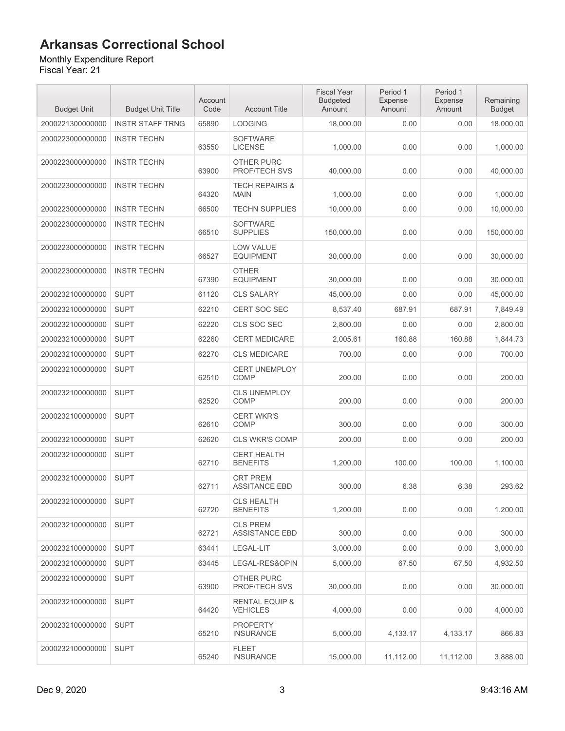Monthly Expenditure Report

| <b>Budget Unit</b> | <b>Budget Unit Title</b> | Account<br>Code | <b>Account Title</b>                         | <b>Fiscal Year</b><br><b>Budgeted</b><br>Amount | Period 1<br>Expense<br>Amount | Period 1<br><b>Expense</b><br>Amount | Remaining<br><b>Budget</b> |
|--------------------|--------------------------|-----------------|----------------------------------------------|-------------------------------------------------|-------------------------------|--------------------------------------|----------------------------|
| 2000221300000000   | <b>INSTR STAFF TRNG</b>  | 65890           | <b>LODGING</b>                               | 18,000.00                                       | 0.00                          | 0.00                                 | 18,000.00                  |
| 2000223000000000   | <b>INSTR TECHN</b>       | 63550           | <b>SOFTWARE</b><br><b>LICENSE</b>            | 1,000.00                                        | 0.00                          | 0.00                                 | 1,000.00                   |
| 2000223000000000   | <b>INSTR TECHN</b>       | 63900           | <b>OTHER PURC</b><br><b>PROF/TECH SVS</b>    | 40,000.00                                       | 0.00                          | 0.00                                 | 40,000.00                  |
| 2000223000000000   | <b>INSTR TECHN</b>       | 64320           | <b>TECH REPAIRS &amp;</b><br><b>MAIN</b>     | 1,000.00                                        | 0.00                          | 0.00                                 | 1,000.00                   |
| 2000223000000000   | <b>INSTR TECHN</b>       | 66500           | <b>TECHN SUPPLIES</b>                        | 10,000.00                                       | 0.00                          | 0.00                                 | 10,000.00                  |
| 2000223000000000   | <b>INSTR TECHN</b>       | 66510           | <b>SOFTWARE</b><br><b>SUPPLIES</b>           | 150,000.00                                      | 0.00                          | 0.00                                 | 150,000.00                 |
| 2000223000000000   | <b>INSTR TECHN</b>       | 66527           | <b>LOW VALUE</b><br><b>EQUIPMENT</b>         | 30,000.00                                       | 0.00                          | 0.00                                 | 30,000.00                  |
| 2000223000000000   | <b>INSTR TECHN</b>       | 67390           | <b>OTHER</b><br><b>EQUIPMENT</b>             | 30,000.00                                       | 0.00                          | 0.00                                 | 30,000.00                  |
| 2000232100000000   | <b>SUPT</b>              | 61120           | <b>CLS SALARY</b>                            | 45,000.00                                       | 0.00                          | 0.00                                 | 45,000.00                  |
| 2000232100000000   | <b>SUPT</b>              | 62210           | CERT SOC SEC                                 | 8,537.40                                        | 687.91                        | 687.91                               | 7,849.49                   |
| 2000232100000000   | <b>SUPT</b>              | 62220           | CLS SOC SEC                                  | 2,800.00                                        | 0.00                          | 0.00                                 | 2,800.00                   |
| 2000232100000000   | <b>SUPT</b>              | 62260           | <b>CERT MEDICARE</b>                         | 2,005.61                                        | 160.88                        | 160.88                               | 1,844.73                   |
| 2000232100000000   | <b>SUPT</b>              | 62270           | <b>CLS MEDICARE</b>                          | 700.00                                          | 0.00                          | 0.00                                 | 700.00                     |
| 2000232100000000   | <b>SUPT</b>              | 62510           | <b>CERT UNEMPLOY</b><br>COMP                 | 200.00                                          | 0.00                          | 0.00                                 | 200.00                     |
| 2000232100000000   | <b>SUPT</b>              | 62520           | <b>CLS UNEMPLOY</b><br>COMP                  | 200.00                                          | 0.00                          | 0.00                                 | 200.00                     |
| 2000232100000000   | <b>SUPT</b>              | 62610           | <b>CERT WKR'S</b><br>COMP                    | 300.00                                          | 0.00                          | 0.00                                 | 300.00                     |
| 2000232100000000   | <b>SUPT</b>              | 62620           | <b>CLS WKR'S COMP</b>                        | 200.00                                          | 0.00                          | 0.00                                 | 200.00                     |
| 2000232100000000   | <b>SUPT</b>              | 62710           | <b>CERT HEALTH</b><br><b>BENEFITS</b>        | 1,200.00                                        | 100.00                        | 100.00                               | 1,100.00                   |
| 2000232100000000   | <b>SUPT</b>              | 62711           | <b>CRT PREM</b><br><b>ASSITANCE EBD</b>      | 300.00                                          | 6.38                          | 6.38                                 | 293.62                     |
| 2000232100000000   | <b>SUPT</b>              | 62720           | <b>CLS HEALTH</b><br><b>BENEFITS</b>         | 1,200.00                                        | 0.00                          | 0.00                                 | 1,200.00                   |
| 2000232100000000   | <b>SUPT</b>              | 62721           | <b>CLS PREM</b><br><b>ASSISTANCE EBD</b>     | 300.00                                          | 0.00                          | 0.00                                 | 300.00                     |
| 2000232100000000   | <b>SUPT</b>              | 63441           | LEGAL-LIT                                    | 3.000.00                                        | 0.00                          | 0.00                                 | 3,000.00                   |
| 2000232100000000   | <b>SUPT</b>              | 63445           | LEGAL-RES&OPIN                               | 5,000.00                                        | 67.50                         | 67.50                                | 4,932.50                   |
| 2000232100000000   | <b>SUPT</b>              | 63900           | OTHER PURC<br>PROF/TECH SVS                  | 30,000.00                                       | 0.00                          | 0.00                                 | 30,000.00                  |
| 2000232100000000   | <b>SUPT</b>              | 64420           | <b>RENTAL EQUIP &amp;</b><br><b>VEHICLES</b> | 4,000.00                                        | 0.00                          | 0.00                                 | 4,000.00                   |
| 2000232100000000   | <b>SUPT</b>              | 65210           | <b>PROPERTY</b><br><b>INSURANCE</b>          | 5,000.00                                        | 4,133.17                      | 4,133.17                             | 866.83                     |
| 2000232100000000   | <b>SUPT</b>              | 65240           | FLEET<br><b>INSURANCE</b>                    | 15,000.00                                       | 11,112.00                     | 11,112.00                            | 3,888.00                   |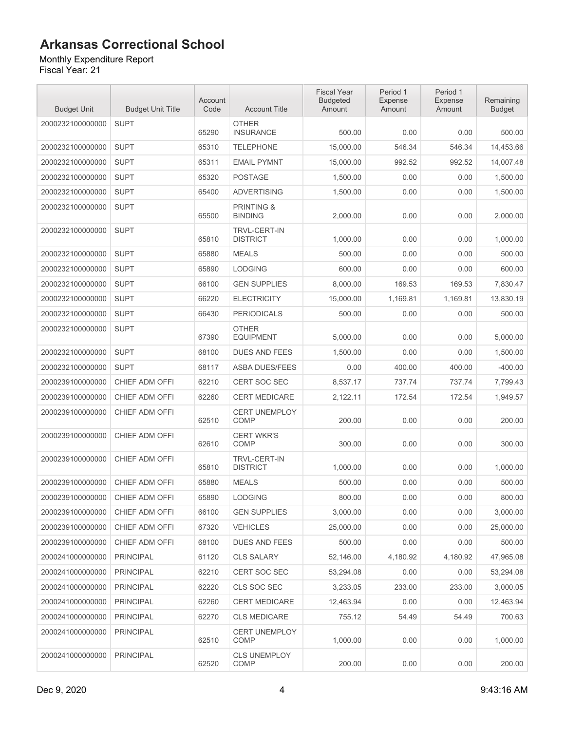Monthly Expenditure Report Fiscal Year: 21

| <b>Budget Unit</b> | <b>Budget Unit Title</b> | Account<br>Code | <b>Account Title</b>                    | <b>Fiscal Year</b><br><b>Budgeted</b><br>Amount | Period 1<br>Expense<br>Amount | Period 1<br>Expense<br>Amount | Remaining<br><b>Budget</b> |
|--------------------|--------------------------|-----------------|-----------------------------------------|-------------------------------------------------|-------------------------------|-------------------------------|----------------------------|
| 2000232100000000   | <b>SUPT</b>              | 65290           | <b>OTHER</b><br><b>INSURANCE</b>        | 500.00                                          | 0.00                          | 0.00                          | 500.00                     |
| 2000232100000000   | <b>SUPT</b>              | 65310           | <b>TELEPHONE</b>                        | 15,000.00                                       | 546.34                        | 546.34                        | 14,453.66                  |
| 2000232100000000   | <b>SUPT</b>              | 65311           | <b>EMAIL PYMNT</b>                      | 15,000.00                                       | 992.52                        | 992.52                        | 14,007.48                  |
| 2000232100000000   | <b>SUPT</b>              | 65320           | POSTAGE                                 | 1,500.00                                        | 0.00                          | 0.00                          | 1,500.00                   |
| 2000232100000000   | <b>SUPT</b>              | 65400           | <b>ADVERTISING</b>                      | 1,500.00                                        | 0.00                          | 0.00                          | 1,500.00                   |
| 2000232100000000   | <b>SUPT</b>              | 65500           | <b>PRINTING &amp;</b><br><b>BINDING</b> | 2,000.00                                        | 0.00                          | 0.00                          | 2,000.00                   |
| 2000232100000000   | <b>SUPT</b>              | 65810           | <b>TRVL-CERT-IN</b><br><b>DISTRICT</b>  | 1,000.00                                        | 0.00                          | 0.00                          | 1,000.00                   |
| 2000232100000000   | <b>SUPT</b>              | 65880           | <b>MEALS</b>                            | 500.00                                          | 0.00                          | 0.00                          | 500.00                     |
| 2000232100000000   | <b>SUPT</b>              | 65890           | <b>LODGING</b>                          | 600.00                                          | 0.00                          | 0.00                          | 600.00                     |
| 2000232100000000   | <b>SUPT</b>              | 66100           | <b>GEN SUPPLIES</b>                     | 8,000.00                                        | 169.53                        | 169.53                        | 7.830.47                   |
| 2000232100000000   | <b>SUPT</b>              | 66220           | <b>ELECTRICITY</b>                      | 15,000.00                                       | 1,169.81                      | 1,169.81                      | 13,830.19                  |
| 2000232100000000   | <b>SUPT</b>              | 66430           | <b>PERIODICALS</b>                      | 500.00                                          | 0.00                          | 0.00                          | 500.00                     |
| 2000232100000000   | <b>SUPT</b>              | 67390           | <b>OTHER</b><br><b>EQUIPMENT</b>        | 5,000.00                                        | 0.00                          | 0.00                          | 5,000.00                   |
| 2000232100000000   | <b>SUPT</b>              | 68100           | <b>DUES AND FEES</b>                    | 1.500.00                                        | 0.00                          | 0.00                          | 1,500.00                   |
| 2000232100000000   | <b>SUPT</b>              | 68117           | <b>ASBA DUES/FEES</b>                   | 0.00                                            | 400.00                        | 400.00                        | $-400.00$                  |
| 2000239100000000   | CHIEF ADM OFFI           | 62210           | CERT SOC SEC                            | 8,537.17                                        | 737.74                        | 737.74                        | 7,799.43                   |
| 2000239100000000   | CHIEF ADM OFFI           | 62260           | <b>CERT MEDICARE</b>                    | 2,122.11                                        | 172.54                        | 172.54                        | 1,949.57                   |
| 2000239100000000   | CHIEF ADM OFFI           | 62510           | <b>CERT UNEMPLOY</b><br><b>COMP</b>     | 200.00                                          | 0.00                          | 0.00                          | 200.00                     |
| 2000239100000000   | CHIEF ADM OFFI           | 62610           | <b>CERT WKR'S</b><br><b>COMP</b>        | 300.00                                          | 0.00                          | 0.00                          | 300.00                     |
| 2000239100000000   | CHIEF ADM OFFI           | 65810           | <b>TRVL-CERT-IN</b><br><b>DISTRICT</b>  | 1,000.00                                        | 0.00                          | 0.00                          | 1,000.00                   |
| 2000239100000000   | CHIEF ADM OFFI           | 65880           | <b>MEALS</b>                            | 500.00                                          | 0.00                          | 0.00                          | 500.00                     |
| 2000239100000000   | CHIEF ADM OFFI           | 65890           | <b>LODGING</b>                          | 800.00                                          | 0.00                          | 0.00                          | 800.00                     |
| 2000239100000000   | CHIEF ADM OFFI           | 66100           | <b>GEN SUPPLIES</b>                     | 3,000.00                                        | 0.00                          | 0.00                          | 3,000.00                   |
| 2000239100000000   | CHIEF ADM OFFI           | 67320           | <b>VEHICLES</b>                         | 25,000.00                                       | 0.00                          | 0.00                          | 25,000.00                  |
| 2000239100000000   | CHIEF ADM OFFI           | 68100           | DUES AND FEES                           | 500.00                                          | 0.00                          | 0.00                          | 500.00                     |
| 2000241000000000   | <b>PRINCIPAL</b>         | 61120           | <b>CLS SALARY</b>                       | 52,146.00                                       | 4,180.92                      | 4,180.92                      | 47,965.08                  |
| 2000241000000000   | <b>PRINCIPAL</b>         | 62210           | <b>CERT SOC SEC</b>                     | 53,294.08                                       | 0.00                          | 0.00                          | 53,294.08                  |
| 2000241000000000   | <b>PRINCIPAL</b>         | 62220           | CLS SOC SEC                             | 3,233.05                                        | 233.00                        | 233.00                        | 3,000.05                   |
| 2000241000000000   | <b>PRINCIPAL</b>         | 62260           | <b>CERT MEDICARE</b>                    | 12,463.94                                       | 0.00                          | 0.00                          | 12,463.94                  |
| 2000241000000000   | <b>PRINCIPAL</b>         | 62270           | <b>CLS MEDICARE</b>                     | 755.12                                          | 54.49                         | 54.49                         | 700.63                     |
| 2000241000000000   | <b>PRINCIPAL</b>         | 62510           | <b>CERT UNEMPLOY</b><br><b>COMP</b>     | 1,000.00                                        | 0.00                          | 0.00                          | 1,000.00                   |
| 2000241000000000   | <b>PRINCIPAL</b>         | 62520           | CLS UNEMPLOY<br>COMP                    | 200.00                                          | 0.00                          | 0.00                          | 200.00                     |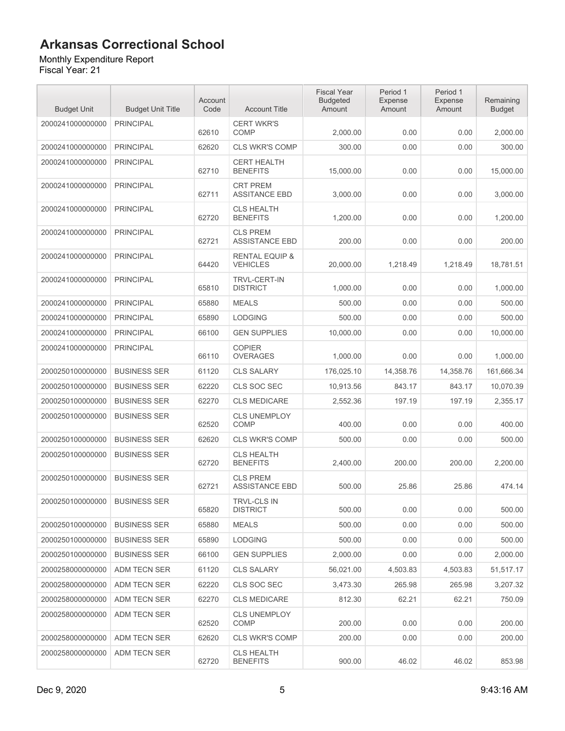Monthly Expenditure Report

| <b>Budget Unit</b> | <b>Budget Unit Title</b> | Account<br>Code | <b>Account Title</b>                         | <b>Fiscal Year</b><br><b>Budgeted</b><br>Amount | Period 1<br>Expense<br>Amount | Period 1<br>Expense<br>Amount | Remaining<br><b>Budget</b> |
|--------------------|--------------------------|-----------------|----------------------------------------------|-------------------------------------------------|-------------------------------|-------------------------------|----------------------------|
| 2000241000000000   | <b>PRINCIPAL</b>         | 62610           | <b>CERT WKR'S</b><br><b>COMP</b>             | 2,000.00                                        | 0.00                          | 0.00                          | 2,000.00                   |
| 2000241000000000   | <b>PRINCIPAL</b>         | 62620           | <b>CLS WKR'S COMP</b>                        | 300.00                                          | 0.00                          | 0.00                          | 300.00                     |
| 2000241000000000   | <b>PRINCIPAL</b>         | 62710           | <b>CERT HEALTH</b><br><b>BENEFITS</b>        | 15,000.00                                       | 0.00                          | 0.00                          | 15,000.00                  |
| 2000241000000000   | <b>PRINCIPAL</b>         | 62711           | <b>CRT PREM</b><br><b>ASSITANCE EBD</b>      | 3,000.00                                        | 0.00                          | 0.00                          | 3,000.00                   |
| 2000241000000000   | <b>PRINCIPAL</b>         | 62720           | <b>CLS HEALTH</b><br><b>BENEFITS</b>         | 1,200.00                                        | 0.00                          | 0.00                          | 1.200.00                   |
| 2000241000000000   | <b>PRINCIPAL</b>         | 62721           | <b>CLS PREM</b><br><b>ASSISTANCE EBD</b>     | 200.00                                          | 0.00                          | 0.00                          | 200.00                     |
| 2000241000000000   | <b>PRINCIPAL</b>         | 64420           | <b>RENTAL EQUIP &amp;</b><br><b>VEHICLES</b> | 20,000.00                                       | 1,218.49                      | 1,218.49                      | 18,781.51                  |
| 2000241000000000   | <b>PRINCIPAL</b>         | 65810           | <b>TRVL-CERT-IN</b><br><b>DISTRICT</b>       | 1,000.00                                        | 0.00                          | 0.00                          | 1,000.00                   |
| 2000241000000000   | <b>PRINCIPAL</b>         | 65880           | <b>MEALS</b>                                 | 500.00                                          | 0.00                          | 0.00                          | 500.00                     |
| 2000241000000000   | <b>PRINCIPAL</b>         | 65890           | <b>LODGING</b>                               | 500.00                                          | 0.00                          | 0.00                          | 500.00                     |
| 2000241000000000   | <b>PRINCIPAL</b>         | 66100           | <b>GEN SUPPLIES</b>                          | 10.000.00                                       | 0.00                          | 0.00                          | 10,000.00                  |
| 2000241000000000   | <b>PRINCIPAL</b>         | 66110           | <b>COPIER</b><br><b>OVERAGES</b>             | 1,000.00                                        | 0.00                          | 0.00                          | 1,000.00                   |
| 2000250100000000   | <b>BUSINESS SER</b>      | 61120           | <b>CLS SALARY</b>                            | 176,025.10                                      | 14,358.76                     | 14,358.76                     | 161,666.34                 |
| 2000250100000000   | <b>BUSINESS SER</b>      | 62220           | CLS SOC SEC                                  | 10,913.56                                       | 843.17                        | 843.17                        | 10,070.39                  |
| 2000250100000000   | <b>BUSINESS SER</b>      | 62270           | <b>CLS MEDICARE</b>                          | 2,552.36                                        | 197.19                        | 197.19                        | 2,355.17                   |
| 2000250100000000   | <b>BUSINESS SER</b>      | 62520           | <b>CLS UNEMPLOY</b><br><b>COMP</b>           | 400.00                                          | 0.00                          | 0.00                          | 400.00                     |
| 2000250100000000   | <b>BUSINESS SER</b>      | 62620           | <b>CLS WKR'S COMP</b>                        | 500.00                                          | 0.00                          | 0.00                          | 500.00                     |
| 2000250100000000   | <b>BUSINESS SER</b>      | 62720           | <b>CLS HEALTH</b><br><b>BENEFITS</b>         | 2.400.00                                        | 200.00                        | 200.00                        | 2,200.00                   |
| 2000250100000000   | <b>BUSINESS SER</b>      | 62721           | <b>CLS PREM</b><br><b>ASSISTANCE EBD</b>     | 500.00                                          | 25.86                         | 25.86                         | 474.14                     |
| 2000250100000000   | <b>BUSINESS SER</b>      | 65820           | TRVL-CLS IN<br><b>DISTRICT</b>               | 500.00                                          | 0.00                          | 0.00                          | 500.00                     |
| 2000250100000000   | <b>BUSINESS SER</b>      | 65880           | <b>MEALS</b>                                 | 500.00                                          | 0.00                          | 0.00                          | 500.00                     |
| 2000250100000000   | <b>BUSINESS SER</b>      | 65890           | <b>LODGING</b>                               | 500.00                                          | 0.00                          | 0.00                          | 500.00                     |
| 2000250100000000   | <b>BUSINESS SER</b>      | 66100           | <b>GEN SUPPLIES</b>                          | 2,000.00                                        | 0.00                          | 0.00                          | 2,000.00                   |
| 2000258000000000   | <b>ADM TECN SER</b>      | 61120           | <b>CLS SALARY</b>                            | 56,021.00                                       | 4,503.83                      | 4,503.83                      | 51,517.17                  |
| 2000258000000000   | ADM TECN SER             | 62220           | CLS SOC SEC                                  | 3,473.30                                        | 265.98                        | 265.98                        | 3,207.32                   |
| 2000258000000000   | ADM TECN SER             | 62270           | <b>CLS MEDICARE</b>                          | 812.30                                          | 62.21                         | 62.21                         | 750.09                     |
| 2000258000000000   | ADM TECN SER             | 62520           | <b>CLS UNEMPLOY</b><br>COMP                  | 200.00                                          | 0.00                          | 0.00                          | 200.00                     |
| 2000258000000000   | ADM TECN SER             | 62620           | <b>CLS WKR'S COMP</b>                        | 200.00                                          | 0.00                          | 0.00                          | 200.00                     |
| 2000258000000000   | ADM TECN SER             | 62720           | <b>CLS HEALTH</b><br><b>BENEFITS</b>         | 900.00                                          | 46.02                         | 46.02                         | 853.98                     |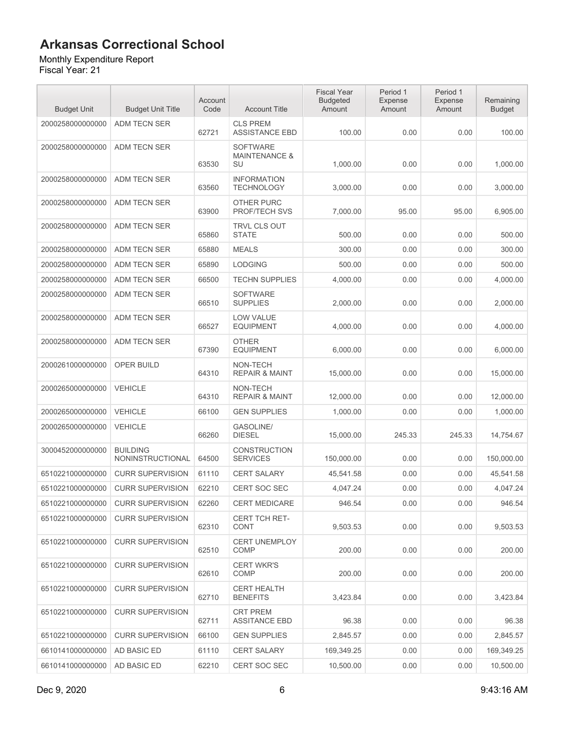#### Monthly Expenditure Report

| <b>Budget Unit</b> | <b>Budget Unit Title</b>            | Account<br>Code | <b>Account Title</b>                              | <b>Fiscal Year</b><br><b>Budgeted</b><br>Amount | Period 1<br>Expense<br>Amount | Period 1<br>Expense<br>Amount | Remaining<br><b>Budget</b> |
|--------------------|-------------------------------------|-----------------|---------------------------------------------------|-------------------------------------------------|-------------------------------|-------------------------------|----------------------------|
| 2000258000000000   | ADM TECN SER                        | 62721           | <b>CLS PREM</b><br><b>ASSISTANCE EBD</b>          | 100.00                                          | 0.00                          | 0.00                          | 100.00                     |
| 2000258000000000   | ADM TECN SER                        | 63530           | <b>SOFTWARE</b><br><b>MAINTENANCE &amp;</b><br>SU | 1,000.00                                        | 0.00                          | 0.00                          | 1,000.00                   |
| 2000258000000000   | ADM TECN SER                        | 63560           | <b>INFORMATION</b><br><b>TECHNOLOGY</b>           | 3,000.00                                        | 0.00                          | 0.00                          | 3,000.00                   |
| 2000258000000000   | ADM TECN SER                        | 63900           | OTHER PURC<br><b>PROF/TECH SVS</b>                | 7,000.00                                        | 95.00                         | 95.00                         | 6,905.00                   |
| 2000258000000000   | ADM TECN SER                        | 65860           | <b>TRVL CLS OUT</b><br><b>STATE</b>               | 500.00                                          | 0.00                          | 0.00                          | 500.00                     |
| 2000258000000000   | <b>ADM TECN SER</b>                 | 65880           | <b>MEALS</b>                                      | 300.00                                          | 0.00                          | 0.00                          | 300.00                     |
| 2000258000000000   | ADM TECN SER                        | 65890           | <b>LODGING</b>                                    | 500.00                                          | 0.00                          | 0.00                          | 500.00                     |
| 2000258000000000   | ADM TECN SER                        | 66500           | <b>TECHN SUPPLIES</b>                             | 4,000.00                                        | 0.00                          | 0.00                          | 4,000.00                   |
| 2000258000000000   | <b>ADM TECN SER</b>                 | 66510           | <b>SOFTWARE</b><br><b>SUPPLIES</b>                | 2,000.00                                        | 0.00                          | 0.00                          | 2,000.00                   |
| 2000258000000000   | <b>ADM TECN SER</b>                 | 66527           | <b>LOW VALUE</b><br><b>EQUIPMENT</b>              | 4,000.00                                        | 0.00                          | 0.00                          | 4,000.00                   |
| 2000258000000000   | <b>ADM TECN SER</b>                 | 67390           | <b>OTHER</b><br><b>EQUIPMENT</b>                  | 6,000.00                                        | 0.00                          | 0.00                          | 6,000.00                   |
| 2000261000000000   | OPER BUILD                          | 64310           | NON-TECH<br><b>REPAIR &amp; MAINT</b>             | 15,000.00                                       | 0.00                          | 0.00                          | 15,000.00                  |
| 2000265000000000   | <b>VEHICLE</b>                      | 64310           | NON-TECH<br><b>REPAIR &amp; MAINT</b>             | 12,000.00                                       | 0.00                          | 0.00                          | 12,000.00                  |
| 2000265000000000   | <b>VEHICLE</b>                      | 66100           | <b>GEN SUPPLIES</b>                               | 1,000.00                                        | 0.00                          | 0.00                          | 1,000.00                   |
| 2000265000000000   | <b>VEHICLE</b>                      | 66260           | <b>GASOLINE/</b><br><b>DIESEL</b>                 | 15,000.00                                       | 245.33                        | 245.33                        | 14,754.67                  |
| 3000452000000000   | <b>BUILDING</b><br>NONINSTRUCTIONAL | 64500           | <b>CONSTRUCTION</b><br><b>SERVICES</b>            | 150,000.00                                      | 0.00                          | 0.00                          | 150,000.00                 |
| 6510221000000000   | <b>CURR SUPERVISION</b>             | 61110           | <b>CERT SALARY</b>                                | 45,541.58                                       | 0.00                          | 0.00                          | 45,541.58                  |
| 6510221000000000   | <b>CURR SUPERVISION</b>             | 62210           | <b>CERT SOC SEC</b>                               | 4.047.24                                        | 0.00                          | 0.00                          | 4,047.24                   |
| 6510221000000000   | <b>CURR SUPERVISION</b>             | 62260           | CERT MEDICARE                                     | 946.54                                          | 0.00                          | 0.00                          | 946.54                     |
| 6510221000000000   | <b>CURR SUPERVISION</b>             | 62310           | CERT TCH RET-<br><b>CONT</b>                      | 9,503.53                                        | 0.00                          | 0.00                          | 9,503.53                   |
| 6510221000000000   | <b>CURR SUPERVISION</b>             | 62510           | <b>CERT UNEMPLOY</b><br><b>COMP</b>               | 200.00                                          | 0.00                          | 0.00                          | 200.00                     |
| 6510221000000000   | <b>CURR SUPERVISION</b>             | 62610           | <b>CERT WKR'S</b><br><b>COMP</b>                  | 200.00                                          | 0.00                          | 0.00                          | 200.00                     |
| 6510221000000000   | <b>CURR SUPERVISION</b>             | 62710           | <b>CERT HEALTH</b><br><b>BENEFITS</b>             | 3,423.84                                        | 0.00                          | 0.00                          | 3,423.84                   |
| 6510221000000000   | <b>CURR SUPERVISION</b>             | 62711           | <b>CRT PREM</b><br><b>ASSITANCE EBD</b>           | 96.38                                           | 0.00                          | 0.00                          | 96.38                      |
| 6510221000000000   | <b>CURR SUPERVISION</b>             | 66100           | <b>GEN SUPPLIES</b>                               | 2,845.57                                        | 0.00                          | 0.00                          | 2,845.57                   |
| 6610141000000000   | AD BASIC ED                         | 61110           | <b>CERT SALARY</b>                                | 169,349.25                                      | 0.00                          | 0.00                          | 169,349.25                 |
| 6610141000000000   | AD BASIC ED                         | 62210           | CERT SOC SEC                                      | 10,500.00                                       | 0.00                          | 0.00                          | 10,500.00                  |